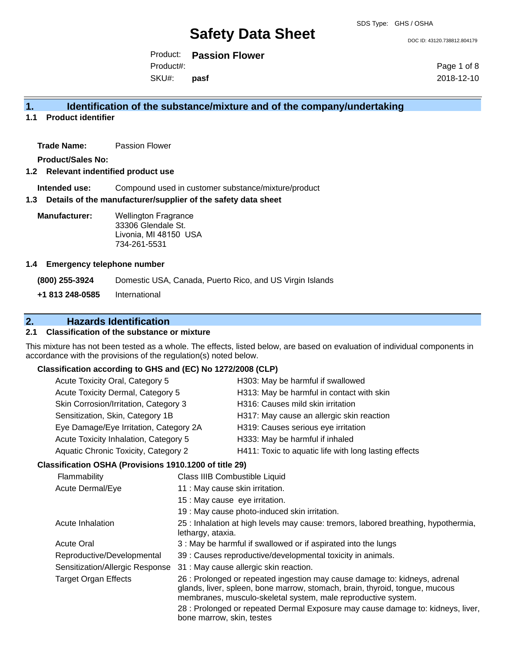DOC ID: 43120.738812.804179

Product: **Passion Flower** SKU#: Product#: **pasf**

Page 1 of 8 2018-12-10

# **1. Identification of the substance/mixture and of the company/undertaking**

**1.1 Product identifier**

**Trade Name:** Passion Flower

**Product/Sales No:**

### **1.2 Relevant indentified product use**

**Intended use:** Compound used in customer substance/mixture/product

### **1.3 Details of the manufacturer/supplier of the safety data sheet**

**Manufacturer:** Wellington Fragrance 33306 Glendale St. Livonia, MI 48150 USA 734-261-5531

### **1.4 Emergency telephone number**

**(800) 255-3924** Domestic USA, Canada, Puerto Rico, and US Virgin Islands **+1 813 248-0585** International

# **2. Hazards Identification**

# **2.1 Classification of the substance or mixture**

This mixture has not been tested as a whole. The effects, listed below, are based on evaluation of individual components in accordance with the provisions of the regulation(s) noted below.

# **Classification according to GHS and (EC) No 1272/2008 (CLP)**

| Acute Toxicity Oral, Category 5                        |                                 | H303: May be harmful if swallowed                                                                                                                                                                                                                                                                             |
|--------------------------------------------------------|---------------------------------|---------------------------------------------------------------------------------------------------------------------------------------------------------------------------------------------------------------------------------------------------------------------------------------------------------------|
| Acute Toxicity Dermal, Category 5                      |                                 | H313: May be harmful in contact with skin                                                                                                                                                                                                                                                                     |
| Skin Corrosion/Irritation, Category 3                  |                                 | H316: Causes mild skin irritation                                                                                                                                                                                                                                                                             |
| Sensitization, Skin, Category 1B                       |                                 | H317: May cause an allergic skin reaction                                                                                                                                                                                                                                                                     |
| Eye Damage/Eye Irritation, Category 2A                 |                                 | H319: Causes serious eye irritation                                                                                                                                                                                                                                                                           |
| Acute Toxicity Inhalation, Category 5                  |                                 | H333: May be harmful if inhaled                                                                                                                                                                                                                                                                               |
| Aquatic Chronic Toxicity, Category 2                   |                                 | H411: Toxic to aquatic life with long lasting effects                                                                                                                                                                                                                                                         |
| Classification OSHA (Provisions 1910.1200 of title 29) |                                 |                                                                                                                                                                                                                                                                                                               |
| Flammability                                           | Class IIIB Combustible Liquid   |                                                                                                                                                                                                                                                                                                               |
| Acute Dermal/Eye                                       | 11 : May cause skin irritation. |                                                                                                                                                                                                                                                                                                               |
|                                                        | 15 : May cause eye irritation.  |                                                                                                                                                                                                                                                                                                               |
|                                                        |                                 | 19 : May cause photo-induced skin irritation.                                                                                                                                                                                                                                                                 |
| Acute Inhalation                                       | lethargy, ataxia.               | 25 : Inhalation at high levels may cause: tremors, labored breathing, hypothermia,                                                                                                                                                                                                                            |
| <b>Acute Oral</b>                                      |                                 | 3 : May be harmful if swallowed or if aspirated into the lungs                                                                                                                                                                                                                                                |
| Reproductive/Developmental                             |                                 | 39 : Causes reproductive/developmental toxicity in animals.                                                                                                                                                                                                                                                   |
| Sensitization/Allergic Response                        |                                 | 31 : May cause allergic skin reaction.                                                                                                                                                                                                                                                                        |
| <b>Target Organ Effects</b>                            |                                 | 26 : Prolonged or repeated ingestion may cause damage to: kidneys, adrenal<br>glands, liver, spleen, bone marrow, stomach, brain, thyroid, tongue, mucous<br>membranes, musculo-skeletal system, male reproductive system.<br>28 : Prolonged or repeated Dermal Exposure may cause damage to: kidneys, liver, |
|                                                        | bone marrow, skin, testes       |                                                                                                                                                                                                                                                                                                               |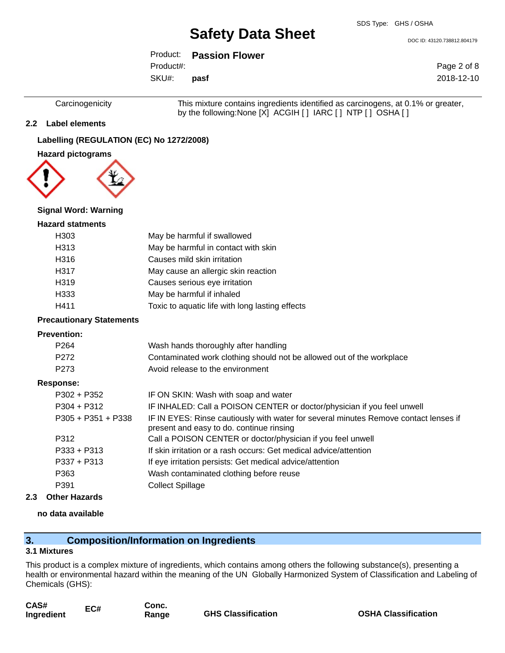DOC ID: 43120.738812.804179

Product: **Passion Flower** SKU#: Product#: **pasf**

Page 2 of 8 2018-12-10

Carcinogenicity This mixture contains ingredients identified as carcinogens, at 0.1% or greater, by the following:None [X] ACGIH [ ] IARC [ ] NTP [ ] OSHA [ ]

## **2.2 Label elements**

# **Labelling (REGULATION (EC) No 1272/2008)**

**Hazard pictograms**



### **Signal Word: Warning**

### **Hazard statments**

| H <sub>303</sub> | May be harmful if swallowed                     |
|------------------|-------------------------------------------------|
| H313             | May be harmful in contact with skin             |
| H316             | Causes mild skin irritation                     |
| H317             | May cause an allergic skin reaction             |
| H319             | Causes serious eye irritation                   |
| H333             | May be harmful if inhaled                       |
| H411             | Toxic to aquatic life with long lasting effects |

### **Precautionary Statements**

### **Prevention:**

| P <sub>264</sub><br>P <sub>272</sub><br>P <sub>273</sub> | Wash hands thoroughly after handling<br>Contaminated work clothing should not be allowed out of the workplace<br>Avoid release to the environment |
|----------------------------------------------------------|---------------------------------------------------------------------------------------------------------------------------------------------------|
| Response:                                                |                                                                                                                                                   |
| $P302 + P352$                                            | IF ON SKIN: Wash with soap and water                                                                                                              |
| $P304 + P312$                                            | IF INHALED: Call a POISON CENTER or doctor/physician if you feel unwell                                                                           |
| $P305 + P351 + P338$                                     | IF IN EYES: Rinse cautiously with water for several minutes Remove contact lenses if<br>present and easy to do. continue rinsing                  |
| P312                                                     | Call a POISON CENTER or doctor/physician if you feel unwell                                                                                       |
| $P333 + P313$                                            | If skin irritation or a rash occurs: Get medical advice/attention                                                                                 |
| $P337 + P313$                                            | If eye irritation persists: Get medical advice/attention                                                                                          |
| P363                                                     | Wash contaminated clothing before reuse                                                                                                           |
| P391                                                     | <b>Collect Spillage</b>                                                                                                                           |

**2.3 Other Hazards**

## **no data available**

# **3. Composition/Information on Ingredients**

### **3.1 Mixtures**

This product is a complex mixture of ingredients, which contains among others the following substance(s), presenting a health or environmental hazard within the meaning of the UN Globally Harmonized System of Classification and Labeling of Chemicals (GHS):

| CAS#       | EC# |
|------------|-----|
| Ingredient |     |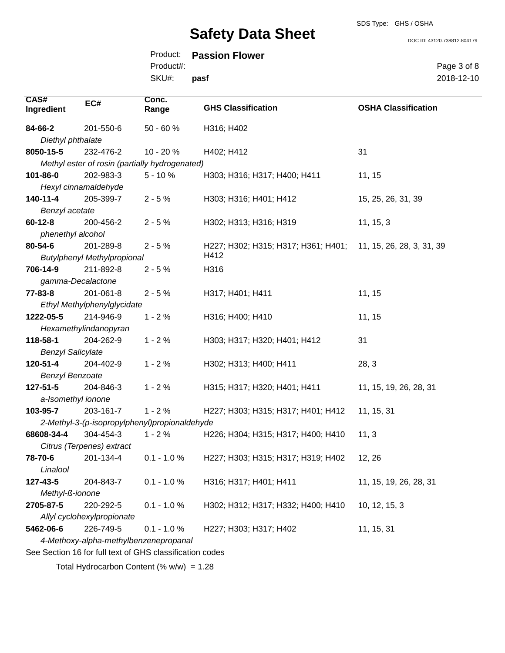SDS Type: GHS / OSHA

DOC ID: 43120.738812.804179

|           | Product: Passion Flower |
|-----------|-------------------------|
| Product#: |                         |
| SKU#:     | pasf                    |

Page 3 of 8 2018-12-10

| <b>CAS#</b><br>Ingredient | EC#                                   | Conc.<br>Range                                           | <b>GHS Classification</b>           | <b>OSHA Classification</b> |
|---------------------------|---------------------------------------|----------------------------------------------------------|-------------------------------------|----------------------------|
| 84-66-2                   | 201-550-6                             | $50 - 60%$                                               | H316; H402                          |                            |
| Diethyl phthalate         |                                       |                                                          |                                     |                            |
| 8050-15-5                 | 232-476-2                             | 10 - 20 %                                                | H402; H412                          | 31                         |
|                           |                                       | Methyl ester of rosin (partially hydrogenated)           |                                     |                            |
| 101-86-0                  | 202-983-3                             | $5 - 10%$                                                | H303; H316; H317; H400; H411        | 11, 15                     |
|                           | Hexyl cinnamaldehyde                  |                                                          |                                     |                            |
| $140 - 11 - 4$            | 205-399-7                             | $2 - 5%$                                                 | H303; H316; H401; H412              | 15, 25, 26, 31, 39         |
| Benzyl acetate            |                                       |                                                          |                                     |                            |
| $60 - 12 - 8$             | 200-456-2                             | $2 - 5%$                                                 | H302; H313; H316; H319              | 11, 15, 3                  |
| phenethyl alcohol         |                                       |                                                          |                                     |                            |
| 80-54-6                   | 201-289-8                             | $2 - 5%$                                                 | H227; H302; H315; H317; H361; H401; | 11, 15, 26, 28, 3, 31, 39  |
|                           | <b>Butylphenyl Methylpropional</b>    |                                                          | H412                                |                            |
| 706-14-9                  | 211-892-8                             | $2 - 5%$                                                 | H316                                |                            |
| gamma-Decalactone         |                                       |                                                          |                                     |                            |
| $77 - 83 - 8$             | 201-061-8                             | $2 - 5%$                                                 | H317; H401; H411                    | 11, 15                     |
|                           | Ethyl Methylphenylglycidate           |                                                          |                                     |                            |
| 1222-05-5                 | 214-946-9                             | $1 - 2%$                                                 | H316; H400; H410                    | 11, 15                     |
|                           | Hexamethylindanopyran                 |                                                          |                                     |                            |
| 118-58-1                  | 204-262-9                             | $1 - 2%$                                                 | H303; H317; H320; H401; H412        | 31                         |
| <b>Benzyl Salicylate</b>  |                                       |                                                          |                                     |                            |
| 120-51-4                  | 204-402-9                             | $1 - 2%$                                                 | H302; H313; H400; H411              | 28, 3                      |
| <b>Benzyl Benzoate</b>    |                                       |                                                          |                                     |                            |
| $127 - 51 - 5$            | 204-846-3                             | $1 - 2%$                                                 | H315; H317; H320; H401; H411        | 11, 15, 19, 26, 28, 31     |
| a-Isomethyl ionone        |                                       |                                                          |                                     |                            |
| 103-95-7                  | 203-161-7                             | $1 - 2%$                                                 | H227; H303; H315; H317; H401; H412  | 11, 15, 31                 |
|                           |                                       | 2-Methyl-3-(p-isopropylphenyl)propionaldehyde            |                                     |                            |
| 68608-34-4                | 304-454-3                             | $1 - 2%$                                                 | H226; H304; H315; H317; H400; H410  | 11, 3                      |
|                           | Citrus (Terpenes) extract             |                                                          |                                     |                            |
| 78-70-6<br>Linalool       | 201-134-4                             | $0.1 - 1.0 %$                                            | H227; H303; H315; H317; H319; H402  | 12, 26                     |
| 127-43-5                  | 204-843-7                             | $0.1 - 1.0 %$                                            | H316; H317; H401; H411              | 11, 15, 19, 26, 28, 31     |
| Methyl-ß-ionone           |                                       |                                                          |                                     |                            |
| 2705-87-5                 | 220-292-5                             | $0.1 - 1.0 %$                                            | H302; H312; H317; H332; H400; H410  | 10, 12, 15, 3              |
|                           | Allyl cyclohexylpropionate            |                                                          |                                     |                            |
| 5462-06-6                 | 226-749-5                             | $0.1 - 1.0 %$                                            | H227; H303; H317; H402              | 11, 15, 31                 |
|                           | 4-Methoxy-alpha-methylbenzenepropanal |                                                          |                                     |                            |
|                           |                                       | See Section 16 for full text of GHS classification codes |                                     |                            |
|                           |                                       |                                                          |                                     |                            |

Total Hydrocarbon Content  $(% \mathcal{O}_{N})$  = 1.28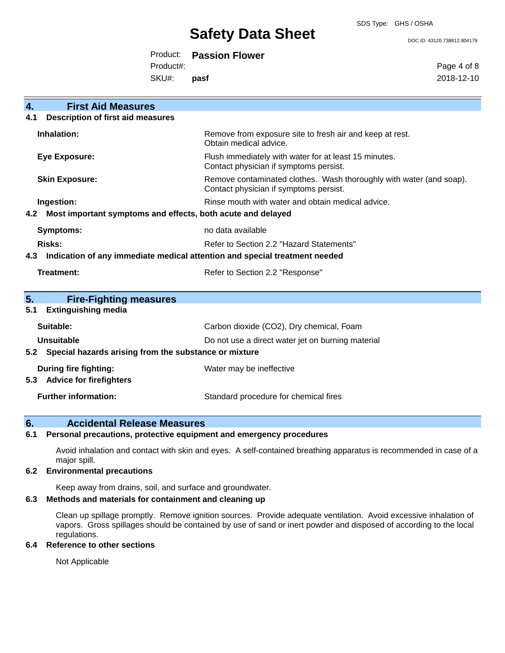SDS Type: GHS / OSHA

#### DOC ID: 43120.738812.804179

Product: **Passion Flower** Product#:

SKU#: **pasf** Page 4 of 8 2018-12-10

| 4.<br><b>First Aid Measures</b>                                                   |                                                                                                               |
|-----------------------------------------------------------------------------------|---------------------------------------------------------------------------------------------------------------|
| <b>Description of first aid measures</b><br>4.1                                   |                                                                                                               |
| Inhalation:                                                                       | Remove from exposure site to fresh air and keep at rest.<br>Obtain medical advice.                            |
| <b>Eye Exposure:</b>                                                              | Flush immediately with water for at least 15 minutes.<br>Contact physician if symptoms persist.               |
| <b>Skin Exposure:</b>                                                             | Remove contaminated clothes. Wash thoroughly with water (and soap).<br>Contact physician if symptoms persist. |
| Ingestion:                                                                        | Rinse mouth with water and obtain medical advice.                                                             |
| Most important symptoms and effects, both acute and delayed<br>4.2                |                                                                                                               |
| Symptoms:                                                                         | no data available                                                                                             |
| Risks:                                                                            | Refer to Section 2.2 "Hazard Statements"                                                                      |
| Indication of any immediate medical attention and special treatment needed<br>4.3 |                                                                                                               |
| Treatment:                                                                        | Refer to Section 2.2 "Response"                                                                               |
|                                                                                   |                                                                                                               |
| 5.<br><b>Fire-Fighting measures</b>                                               |                                                                                                               |
| <b>Extinguishing media</b><br>5.1                                                 |                                                                                                               |
| Suitable:                                                                         | Carbon dioxide (CO2), Dry chemical, Foam                                                                      |
| Unsuitable                                                                        | Do not use a direct water jet on burning material                                                             |
| 5.2 Special hazards arising from the substance or mixture                         |                                                                                                               |
| During fire fighting:                                                             | Water may be ineffective                                                                                      |
| <b>Advice for firefighters</b><br>5.3                                             |                                                                                                               |
| <b>Further information:</b>                                                       | Standard procedure for chemical fires                                                                         |

# **6. Accidental Release Measures**

# **6.1 Personal precautions, protective equipment and emergency procedures**

Avoid inhalation and contact with skin and eyes. A self-contained breathing apparatus is recommended in case of a major spill.

### **6.2 Environmental precautions**

Keep away from drains, soil, and surface and groundwater.

## **6.3 Methods and materials for containment and cleaning up**

Clean up spillage promptly. Remove ignition sources. Provide adequate ventilation. Avoid excessive inhalation of vapors. Gross spillages should be contained by use of sand or inert powder and disposed of according to the local regulations.

# **6.4 Reference to other sections**

Not Applicable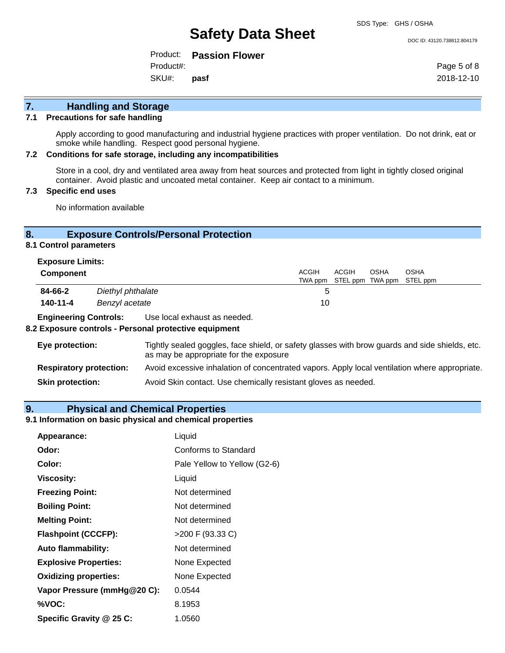#### DOC ID: 43120.738812.804179

Product: **Passion Flower** SKU#: Product#: **pasf**

Page 5 of 8 2018-12-10

# **7. Handling and Storage**

### **7.1 Precautions for safe handling**

Apply according to good manufacturing and industrial hygiene practices with proper ventilation. Do not drink, eat or smoke while handling. Respect good personal hygiene.

### **7.2 Conditions for safe storage, including any incompatibilities**

Store in a cool, dry and ventilated area away from heat sources and protected from light in tightly closed original container. Avoid plastic and uncoated metal container. Keep air contact to a minimum.

# **7.3 Specific end uses**

No information available

# **8. Exposure Controls/Personal Protection**

# **8.1 Control parameters**

|                              | <b>Exposure Limits:</b> |                              |              |       |      |                                   |
|------------------------------|-------------------------|------------------------------|--------------|-------|------|-----------------------------------|
| <b>Component</b>             |                         |                              | <b>ACGIH</b> | ACGIH | OSHA | <b>OSHA</b>                       |
|                              |                         |                              |              |       |      | TWA ppm STEL ppm TWA ppm STEL ppm |
| 84-66-2                      | Diethyl phthalate       |                              |              |       |      |                                   |
| 140-11-4                     | Benzyl acetate          |                              | 10           |       |      |                                   |
| <b>Engineering Controls:</b> |                         | Use local exhaust as needed. |              |       |      |                                   |

### **8.2 Exposure controls - Personal protective equipment**

| Eye protection:                | Tightly sealed goggles, face shield, or safety glasses with brow guards and side shields, etc.<br>as may be appropriate for the exposure |
|--------------------------------|------------------------------------------------------------------------------------------------------------------------------------------|
| <b>Respiratory protection:</b> | Avoid excessive inhalation of concentrated vapors. Apply local ventilation where appropriate.                                            |
| <b>Skin protection:</b>        | Avoid Skin contact. Use chemically resistant gloves as needed.                                                                           |

# **9. Physical and Chemical Properties**

## **9.1 Information on basic physical and chemical properties**

| Appearance:                  | Liquid                       |
|------------------------------|------------------------------|
| Odor:                        | Conforms to Standard         |
| Color:                       | Pale Yellow to Yellow (G2-6) |
| <b>Viscosity:</b>            | Liquid                       |
| <b>Freezing Point:</b>       | Not determined               |
| <b>Boiling Point:</b>        | Not determined               |
| <b>Melting Point:</b>        | Not determined               |
| <b>Flashpoint (CCCFP):</b>   | >200 F (93.33 C)             |
| <b>Auto flammability:</b>    | Not determined               |
| <b>Explosive Properties:</b> | None Expected                |
| <b>Oxidizing properties:</b> | None Expected                |
| Vapor Pressure (mmHg@20 C):  | 0.0544                       |
| %VOC:                        | 8.1953                       |
| Specific Gravity @ 25 C:     | 1.0560                       |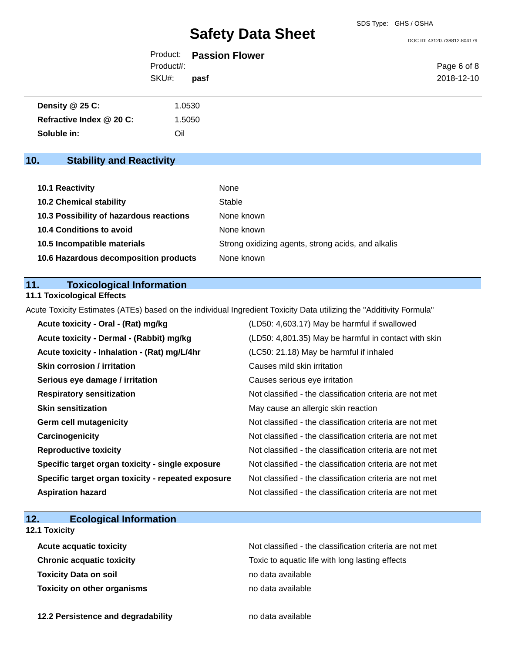DOC ID: 43120.738812.804179

|           | Product: Passion Flower |             |
|-----------|-------------------------|-------------|
| Product#: |                         | Page 6 of 8 |
| SKU#:     | pasf                    | 2018-12-10  |

| Density @ 25 C:          | 1.0530 |
|--------------------------|--------|
| Refractive Index @ 20 C: | 1.5050 |
| Soluble in:              | Oil    |

# **10. Stability and Reactivity**

| 10.1 Reactivity                         | None                                               |
|-----------------------------------------|----------------------------------------------------|
| <b>10.2 Chemical stability</b>          | Stable                                             |
| 10.3 Possibility of hazardous reactions | None known                                         |
| <b>10.4 Conditions to avoid</b>         | None known                                         |
| 10.5 Incompatible materials             | Strong oxidizing agents, strong acids, and alkalis |
| 10.6 Hazardous decomposition products   | None known                                         |

# **11. Toxicological Information**

**11.1 Toxicological Effects**

Acute Toxicity Estimates (ATEs) based on the individual Ingredient Toxicity Data utilizing the "Additivity Formula"

| Acute toxicity - Oral - (Rat) mg/kg                | (LD50: 4,603.17) May be harmful if swallowed             |
|----------------------------------------------------|----------------------------------------------------------|
| Acute toxicity - Dermal - (Rabbit) mg/kg           | (LD50: 4,801.35) May be harmful in contact with skin     |
| Acute toxicity - Inhalation - (Rat) mg/L/4hr       | (LC50: 21.18) May be harmful if inhaled                  |
| <b>Skin corrosion / irritation</b>                 | Causes mild skin irritation                              |
| Serious eye damage / irritation                    | Causes serious eye irritation                            |
| <b>Respiratory sensitization</b>                   | Not classified - the classification criteria are not met |
| <b>Skin sensitization</b>                          | May cause an allergic skin reaction                      |
| <b>Germ cell mutagenicity</b>                      | Not classified - the classification criteria are not met |
| Carcinogenicity                                    | Not classified - the classification criteria are not met |
| <b>Reproductive toxicity</b>                       | Not classified - the classification criteria are not met |
| Specific target organ toxicity - single exposure   | Not classified - the classification criteria are not met |
| Specific target organ toxicity - repeated exposure | Not classified - the classification criteria are not met |
| <b>Aspiration hazard</b>                           | Not classified - the classification criteria are not met |

# **12. Ecological Information**

**12.1 Toxicity**

**Toxicity Data on soil no data available no data available Toxicity on other organisms** no data available

Acute acquatic toxicity **Acute acquatic toxicity** Not classified - the classification criteria are not met **Chronic acquatic toxicity Toxic to aquatic life with long lasting effects** 

**12.2 Persistence and degradability no data available**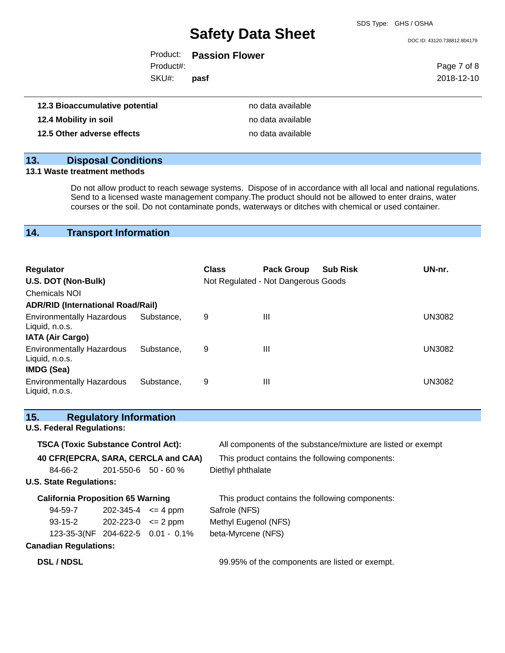SDS Type: GHS / OSHA

DOC ID: 43120.738812.804179

Product: **Passion Flower** Product#:

SKU#: **pasf** Page 7 of 8 2018-12-10

| 12.3 Bioaccumulative potential | no data available |
|--------------------------------|-------------------|
| 12.4 Mobility in soil          | no data available |
| 12.5 Other adverse effects     | no data available |

# **13. Disposal Conditions**

# **13.1 Waste treatment methods**

Do not allow product to reach sewage systems. Dispose of in accordance with all local and national regulations. Send to a licensed waste management company.The product should not be allowed to enter drains, water courses or the soil. Do not contaminate ponds, waterways or ditches with chemical or used container.

# **14. Transport Information**

| <b>Regulator</b><br>U.S. DOT (Non-Bulk)                                 |            | <b>Class</b> | <b>Pack Group</b><br>Not Regulated - Not Dangerous Goods | <b>Sub Risk</b> | UN-nr.        |
|-------------------------------------------------------------------------|------------|--------------|----------------------------------------------------------|-----------------|---------------|
| <b>Chemicals NOI</b>                                                    |            |              |                                                          |                 |               |
| <b>ADR/RID (International Road/Rail)</b>                                |            |              |                                                          |                 |               |
| <b>Environmentally Hazardous</b><br>Liquid, n.o.s.                      | Substance, | 9            | $\mathbf{III}$                                           |                 | <b>UN3082</b> |
| <b>IATA (Air Cargo)</b>                                                 |            |              |                                                          |                 |               |
| <b>Environmentally Hazardous</b><br>Liquid, n.o.s.<br><b>IMDG (Sea)</b> | Substance. | 9            | $\mathbf{III}$                                           |                 | <b>UN3082</b> |
| <b>Environmentally Hazardous</b><br>Liquid, n.o.s.                      | Substance. | 9            | $\mathbf{III}$                                           |                 | UN3082        |

| 15.                                        | <b>Regulatory Information</b> |                                   |                                                              |
|--------------------------------------------|-------------------------------|-----------------------------------|--------------------------------------------------------------|
| <b>U.S. Federal Regulations:</b>           |                               |                                   |                                                              |
| <b>TSCA (Toxic Substance Control Act):</b> |                               |                                   | All components of the substance/mixture are listed or exempt |
| 40 CFR(EPCRA, SARA, CERCLA and CAA)        |                               |                                   | This product contains the following components:              |
| 84-66-2                                    | $201 - 550 - 6$ 50 - 60 %     |                                   | Diethyl phthalate                                            |
| <b>U.S. State Regulations:</b>             |                               |                                   |                                                              |
| <b>California Proposition 65 Warning</b>   |                               |                                   | This product contains the following components:              |
| 94-59-7                                    | $202 - 345 - 4 \leq 4$ ppm    |                                   | Safrole (NFS)                                                |
| $93-15-2$ 202-223-0 $\leq$ 2 ppm           |                               |                                   | Methyl Eugenol (NFS)                                         |
|                                            |                               | 123-35-3(NF 204-622-5 0.01 - 0.1% | beta-Myrcene (NFS)                                           |
| <b>Canadian Regulations:</b>               |                               |                                   |                                                              |
| <b>DSL / NDSL</b>                          |                               |                                   | 99.95% of the components are listed or exempt.               |